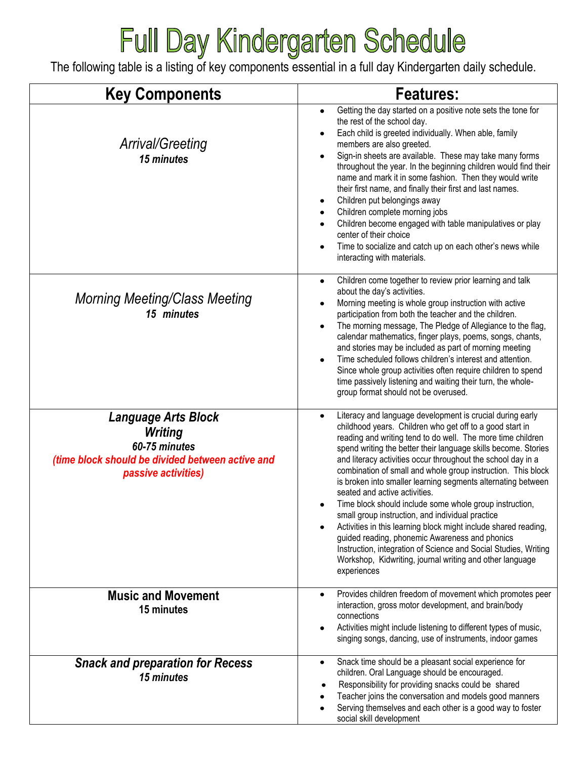## Full Day Kindergarten Schedule

The following table is a listing of key components essential in a full day Kindergarten daily schedule.

| <b>Key Components</b>                                                                                                                    | <b>Features:</b>                                                                                                                                                                                                                                                                                                                                                                                                                                                                                                                                                                                                                                                                                                                                                                                                                                                                       |
|------------------------------------------------------------------------------------------------------------------------------------------|----------------------------------------------------------------------------------------------------------------------------------------------------------------------------------------------------------------------------------------------------------------------------------------------------------------------------------------------------------------------------------------------------------------------------------------------------------------------------------------------------------------------------------------------------------------------------------------------------------------------------------------------------------------------------------------------------------------------------------------------------------------------------------------------------------------------------------------------------------------------------------------|
| Arrival/Greeting<br>15 minutes                                                                                                           | Getting the day started on a positive note sets the tone for<br>$\bullet$<br>the rest of the school day.<br>Each child is greeted individually. When able, family<br>٠<br>members are also greeted.<br>Sign-in sheets are available. These may take many forms<br>$\bullet$<br>throughout the year. In the beginning children would find their<br>name and mark it in some fashion. Then they would write<br>their first name, and finally their first and last names.<br>Children put belongings away<br>٠<br>Children complete morning jobs<br>Children become engaged with table manipulatives or play<br>center of their choice<br>Time to socialize and catch up on each other's news while<br>$\bullet$<br>interacting with materials.                                                                                                                                           |
| <b>Morning Meeting/Class Meeting</b><br>15 minutes                                                                                       | Children come together to review prior learning and talk<br>$\bullet$<br>about the day's activities.<br>Morning meeting is whole group instruction with active<br>$\bullet$<br>participation from both the teacher and the children.<br>The morning message, The Pledge of Allegiance to the flag,<br>$\bullet$<br>calendar mathematics, finger plays, poems, songs, chants,<br>and stories may be included as part of morning meeting<br>Time scheduled follows children's interest and attention.<br>$\bullet$<br>Since whole group activities often require children to spend<br>time passively listening and waiting their turn, the whole-<br>group format should not be overused.                                                                                                                                                                                                |
| <b>Language Arts Block</b><br><b>Writing</b><br>60-75 minutes<br>(time block should be divided between active and<br>passive activities) | Literacy and language development is crucial during early<br>$\bullet$<br>childhood years. Children who get off to a good start in<br>reading and writing tend to do well. The more time children<br>spend writing the better their language skills become. Stories<br>and literacy activities occur throughout the school day in a<br>combination of small and whole group instruction. This block<br>is broken into smaller learning segments alternating between<br>seated and active activities.<br>Time block should include some whole group instruction,<br>small group instruction, and individual practice<br>Activities in this learning block might include shared reading,<br>guided reading, phonemic Awareness and phonics<br>Instruction, integration of Science and Social Studies, Writing<br>Workshop, Kidwriting, journal writing and other language<br>experiences |
| <b>Music and Movement</b><br>15 minutes                                                                                                  | Provides children freedom of movement which promotes peer<br>٠<br>interaction, gross motor development, and brain/body<br>connections<br>Activities might include listening to different types of music,<br>٠<br>singing songs, dancing, use of instruments, indoor games                                                                                                                                                                                                                                                                                                                                                                                                                                                                                                                                                                                                              |
| <b>Snack and preparation for Recess</b><br>15 minutes                                                                                    | Snack time should be a pleasant social experience for<br>$\bullet$<br>children. Oral Language should be encouraged.<br>Responsibility for providing snacks could be shared<br>Teacher joins the conversation and models good manners<br>Serving themselves and each other is a good way to foster<br>social skill development                                                                                                                                                                                                                                                                                                                                                                                                                                                                                                                                                          |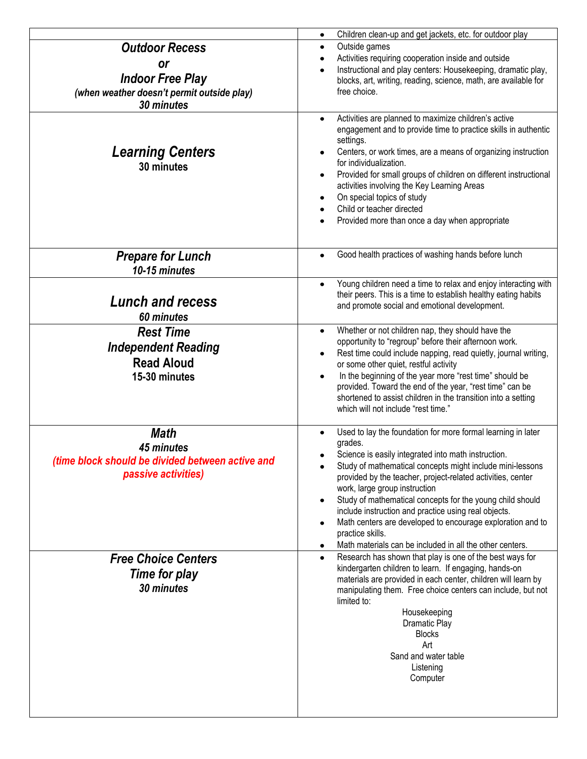|                                                                                                                    | Children clean-up and get jackets, etc. for outdoor play<br>$\bullet$                                                                                                                                                                                                                                                                                                                                                                                                                                                                                                                                      |
|--------------------------------------------------------------------------------------------------------------------|------------------------------------------------------------------------------------------------------------------------------------------------------------------------------------------------------------------------------------------------------------------------------------------------------------------------------------------------------------------------------------------------------------------------------------------------------------------------------------------------------------------------------------------------------------------------------------------------------------|
| <b>Outdoor Recess</b><br>or<br><b>Indoor Free Play</b><br>(when weather doesn't permit outside play)<br>30 minutes | Outside games<br>$\bullet$<br>Activities requiring cooperation inside and outside<br>$\bullet$<br>Instructional and play centers: Housekeeping, dramatic play,<br>$\bullet$<br>blocks, art, writing, reading, science, math, are available for<br>free choice.                                                                                                                                                                                                                                                                                                                                             |
| <b>Learning Centers</b><br>30 minutes                                                                              | Activities are planned to maximize children's active<br>$\bullet$<br>engagement and to provide time to practice skills in authentic<br>settings.<br>Centers, or work times, are a means of organizing instruction<br>for individualization.<br>Provided for small groups of children on different instructional<br>$\bullet$<br>activities involving the Key Learning Areas<br>On special topics of study<br>$\bullet$<br>Child or teacher directed<br>Provided more than once a day when appropriate<br>$\bullet$                                                                                         |
| <b>Prepare for Lunch</b><br>10-15 minutes                                                                          | Good health practices of washing hands before lunch<br>$\bullet$                                                                                                                                                                                                                                                                                                                                                                                                                                                                                                                                           |
| <b>Lunch and recess</b><br>60 minutes                                                                              | Young children need a time to relax and enjoy interacting with<br>$\bullet$<br>their peers. This is a time to establish healthy eating habits<br>and promote social and emotional development.                                                                                                                                                                                                                                                                                                                                                                                                             |
| <b>Rest Time</b><br><b>Independent Reading</b><br><b>Read Aloud</b><br>15-30 minutes                               | Whether or not children nap, they should have the<br>$\bullet$<br>opportunity to "regroup" before their afternoon work.<br>Rest time could include napping, read quietly, journal writing,<br>$\bullet$<br>or some other quiet, restful activity<br>In the beginning of the year more "rest time" should be<br>$\bullet$<br>provided. Toward the end of the year, "rest time" can be<br>shortened to assist children in the transition into a setting<br>which will not include "rest time."                                                                                                               |
| <b>Math</b><br>45 minutes<br>(time block should be divided between active and<br>passive activities)               | Used to lay the foundation for more formal learning in later<br>grades.<br>Science is easily integrated into math instruction.<br>Study of mathematical concepts might include mini-lessons<br>$\bullet$<br>provided by the teacher, project-related activities, center<br>work, large group instruction<br>Study of mathematical concepts for the young child should<br>$\bullet$<br>include instruction and practice using real objects.<br>Math centers are developed to encourage exploration and to<br>$\bullet$<br>practice skills.<br>Math materials can be included in all the other centers.<br>٠ |
| <b>Free Choice Centers</b><br>Time for play<br>30 minutes                                                          | Research has shown that play is one of the best ways for<br>$\bullet$<br>kindergarten children to learn. If engaging, hands-on<br>materials are provided in each center, children will learn by<br>manipulating them. Free choice centers can include, but not<br>limited to:<br>Housekeeping<br><b>Dramatic Play</b><br><b>Blocks</b><br>Art<br>Sand and water table<br>Listening<br>Computer                                                                                                                                                                                                             |